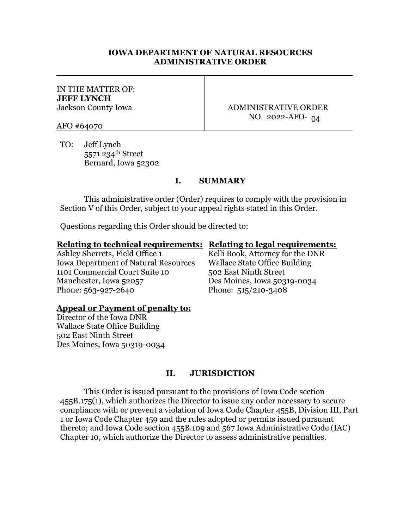## **IOWA DEPARTMENT OF NATURAL RESOURCES ADMINISTRATIVE ORDER**

## IN THE MATTER OF: **JEFF LYNCH** Jackson County Iowa

ADMINISTRATIVE ORDER NO. 2022-AFO-04

AFO #64070

TO: Jeff Lynch 5571 234th Street Bernard, Iowa 52302

# **I. SUMMARY**

This administrative order (Order) requires to comply with the provision in Section V of this Order, subject to your appeal rights stated in this Order.

Questions regarding this Order should be directed to:

#### **Relating to technical requirements: Relating to legal requirements:**

Ashley Sherrets, Field Office 1 Kelli Book, Attorney for the DNR Iowa Department of Natural Resources Wallace State Office Building 1101 Commercial Court Suite 10 502 East Ninth Street Manchester, Iowa 52057 Des Moines, Iowa 50319-0034 Phone: 563-927-2640 Phone: 515/210-3408

# **Appeal or Payment of penalty to:**

Director of the Iowa DNR Wallace State Office Building 502 East Ninth Street Des Moines, Iowa 50319-0034

# **II. JURISDICTION**

This Order is issued pursuant to the provisions of Iowa Code section 455B.175(1), which authorizes the Director to issue any order necessary to secure compliance with or prevent a violation of Iowa Code Chapter 455B, Division III, Part 1 or Iowa Code Chapter 459 and the rules adopted or permits issued pursuant thereto; and Iowa Code section 455B.109 and 567 Iowa Administrative Code (IAC) Chapter 10, which authorize the Director to assess administrative penalties.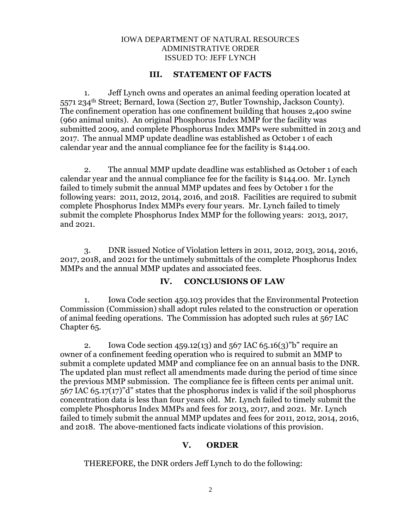#### IOWA DEPARTMENT OF NATURAL RESOURCES ADMINISTRATIVE ORDER ISSUED TO: JEFF LYNCH

#### **III. STATEMENT OF FACTS**

1. Jeff Lynch owns and operates an animal feeding operation located at 5571 234th Street; Bernard, Iowa (Section 27, Butler Township, Jackson County). The confinement operation has one confinement building that houses 2,400 swine (960 animal units). An original Phosphorus Index MMP for the facility was submitted 2009, and complete Phosphorus Index MMPs were submitted in 2013 and 2017. The annual MMP update deadline was established as October 1 of each calendar year and the annual compliance fee for the facility is \$144.00.

2. The annual MMP update deadline was established as October 1 of each calendar year and the annual compliance fee for the facility is \$144.00. Mr. Lynch failed to timely submit the annual MMP updates and fees by October 1 for the following years: 2011, 2012, 2014, 2016, and 2018. Facilities are required to submit complete Phosphorus Index MMPs every four years. Mr. Lynch failed to timely submit the complete Phosphorus Index MMP for the following years: 2013, 2017, and 2021.

3. DNR issued Notice of Violation letters in 2011, 2012, 2013, 2014, 2016, 2017, 2018, and 2021 for the untimely submittals of the complete Phosphorus Index MMPs and the annual MMP updates and associated fees.

# **IV. CONCLUSIONS OF LAW**

1. Iowa Code section 459.103 provides that the Environmental Protection Commission (Commission) shall adopt rules related to the construction or operation of animal feeding operations. The Commission has adopted such rules at 567 IAC Chapter 65.

2. Iowa Code section 459.12(13) and 567 IAC 65.16(3)"b" require an owner of a confinement feeding operation who is required to submit an MMP to submit a complete updated MMP and compliance fee on an annual basis to the DNR. The updated plan must reflect all amendments made during the period of time since the previous MMP submission. The compliance fee is fifteen cents per animal unit. 567 IAC 65.17(17)"d" states that the phosphorus index is valid if the soil phosphorus concentration data is less than four years old. Mr. Lynch failed to timely submit the complete Phosphorus Index MMPs and fees for 2013, 2017, and 2021. Mr. Lynch failed to timely submit the annual MMP updates and fees for 2011, 2012, 2014, 2016, and 2018. The above-mentioned facts indicate violations of this provision.

#### **V. ORDER**

THEREFORE, the DNR orders Jeff Lynch to do the following: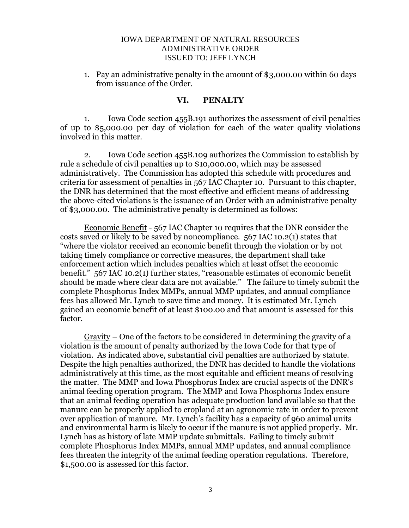#### IOWA DEPARTMENT OF NATURAL RESOURCES ADMINISTRATIVE ORDER ISSUED TO: JEFF LYNCH

1. Pay an administrative penalty in the amount of \$3,000.00 within 60 days from issuance of the Order.

# **VI. PENALTY**

1. Iowa Code section 455B.191 authorizes the assessment of civil penalties of up to \$5,000.00 per day of violation for each of the water quality violations involved in this matter.

2. Iowa Code section 455B.109 authorizes the Commission to establish by rule a schedule of civil penalties up to \$10,000.00, which may be assessed administratively. The Commission has adopted this schedule with procedures and criteria for assessment of penalties in 567 IAC Chapter 10. Pursuant to this chapter, the DNR has determined that the most effective and efficient means of addressing the above-cited violations is the issuance of an Order with an administrative penalty of \$3,000.00. The administrative penalty is determined as follows:

Economic Benefit - 567 IAC Chapter 10 requires that the DNR consider the costs saved or likely to be saved by noncompliance. 567 IAC 10.2(1) states that "where the violator received an economic benefit through the violation or by not taking timely compliance or corrective measures, the department shall take enforcement action which includes penalties which at least offset the economic benefit." 567 IAC 10.2(1) further states, "reasonable estimates of economic benefit should be made where clear data are not available." The failure to timely submit the complete Phosphorus Index MMPs, annual MMP updates, and annual compliance fees has allowed Mr. Lynch to save time and money. It is estimated Mr. Lynch gained an economic benefit of at least \$100.00 and that amount is assessed for this factor.

 $Gravity$  – One of the factors to be considered in determining the gravity of a violation is the amount of penalty authorized by the Iowa Code for that type of violation. As indicated above, substantial civil penalties are authorized by statute. Despite the high penalties authorized, the DNR has decided to handle the violations administratively at this time, as the most equitable and efficient means of resolving the matter. The MMP and Iowa Phosphorus Index are crucial aspects of the DNR's animal feeding operation program. The MMP and Iowa Phosphorus Index ensure that an animal feeding operation has adequate production land available so that the manure can be properly applied to cropland at an agronomic rate in order to prevent over application of manure. Mr. Lynch's facility has a capacity of 960 animal units and environmental harm is likely to occur if the manure is not applied properly. Mr. Lynch has as history of late MMP update submittals. Failing to timely submit complete Phosphorus Index MMPs, annual MMP updates, and annual compliance fees threaten the integrity of the animal feeding operation regulations. Therefore, \$1,500.00 is assessed for this factor.